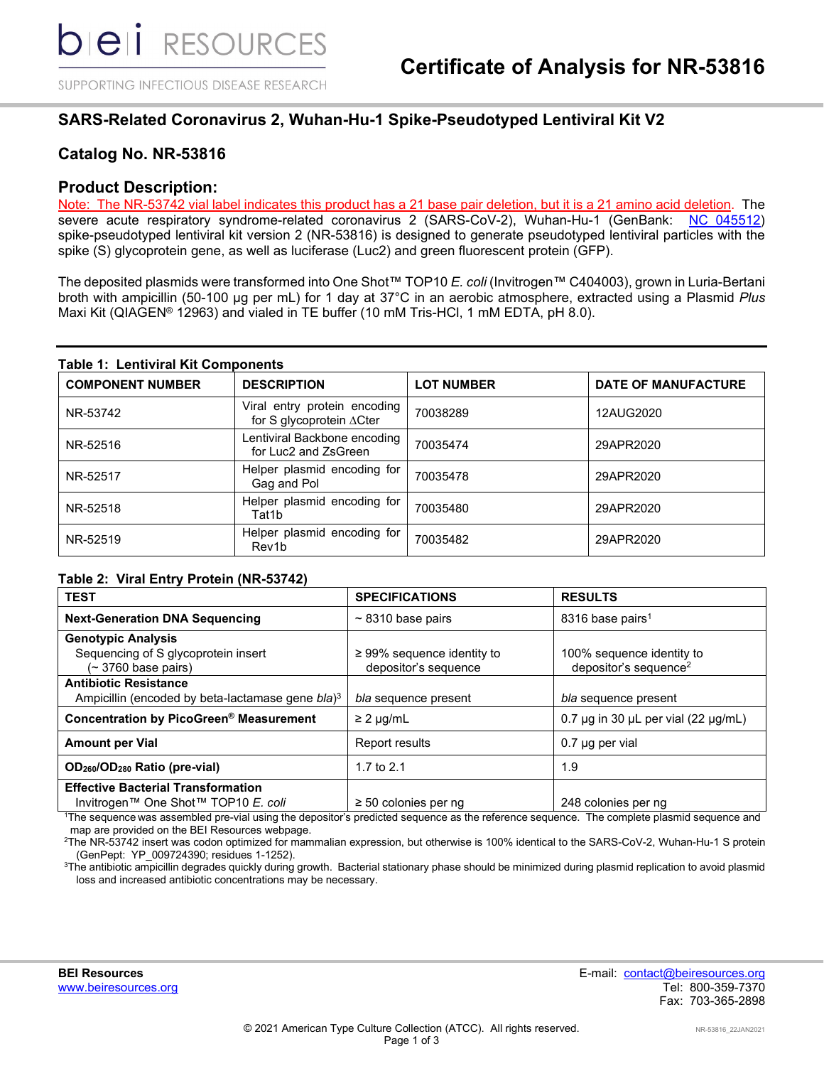SUPPORTING INFECTIOUS DISEASE RESEARCH

## **SARS-Related Coronavirus 2, Wuhan-Hu-1 Spike-Pseudotyped Lentiviral Kit V2**

## **Catalog No. NR-53816**

### **Product Description:**

Note: The NR-53742 vial label indicates this product has a 21 base pair deletion, but it is a 21 amino acid deletion. The severe acute respiratory syndrome-related coronavirus 2 (SARS-CoV-2), Wuhan-Hu-1 (GenBank: NC 045512) spike-pseudotyped lentiviral kit version 2 (NR-53816) is designed to generate pseudotyped lentiviral particles with the spike (S) glycoprotein gene, as well as luciferase (Luc2) and green fluorescent protein (GFP).

The deposited plasmids were transformed into One Shot™ TOP10 *E. coli* (Invitrogen™ C404003), grown in Luria-Bertani broth with ampicillin (50-100 µg per mL) for 1 day at 37°C in an aerobic atmosphere, extracted using a Plasmid *Plus* Maxi Kit (QIAGEN® 12963) and vialed in TE buffer (10 mM Tris-HCl, 1 mM EDTA, pH 8.0).

#### **Table 1: Lentiviral Kit Components**

| <b>COMPONENT NUMBER</b> | <b>DESCRIPTION</b>                                       | <b>LOT NUMBER</b> | <b>DATE OF MANUFACTURE</b> |
|-------------------------|----------------------------------------------------------|-------------------|----------------------------|
| NR-53742                | Viral entry protein encoding<br>for S glycoprotein ∆Cter | 70038289          | 12AUG2020                  |
| NR-52516                | Lentiviral Backbone encoding<br>for Luc2 and ZsGreen     | 70035474          | 29APR2020                  |
| NR-52517                | Helper plasmid encoding for<br>Gag and Pol               | 70035478          | 29APR2020                  |
| NR-52518                | Helper plasmid encoding for<br>Tat1b                     | 70035480          | 29APR2020                  |
| NR-52519                | Helper plasmid encoding for<br>Rev <sub>1</sub> b        | 70035482          | 29APR2020                  |

#### **Table 2: Viral Entry Protein (NR-53742)**

| <b>TEST</b>                                                  | <b>SPECIFICATIONS</b>                                   | <b>RESULTS</b>                                                 |
|--------------------------------------------------------------|---------------------------------------------------------|----------------------------------------------------------------|
| <b>Next-Generation DNA Sequencing</b>                        | $\sim$ 8310 base pairs                                  | 8316 base pairs <sup>1</sup>                                   |
| <b>Genotypic Analysis</b>                                    |                                                         |                                                                |
| Sequencing of S glycoprotein insert<br>$($ 3760 base pairs)  | $\geq$ 99% sequence identity to<br>depositor's sequence | 100% sequence identity to<br>depositor's sequence <sup>2</sup> |
| <b>Antibiotic Resistance</b>                                 |                                                         |                                                                |
| Ampicillin (encoded by beta-lactamase gene bla) <sup>3</sup> | bla sequence present                                    | bla sequence present                                           |
| Concentration by PicoGreen® Measurement                      | $\geq$ 2 µg/mL                                          | 0.7 $\mu$ g in 30 $\mu$ L per vial (22 $\mu$ g/mL)             |
| <b>Amount per Vial</b>                                       | Report results                                          | $0.7$ µg per vial                                              |
| OD <sub>260</sub> /OD <sub>280</sub> Ratio (pre-vial)        | 1.7 to $2.1$                                            | 1.9                                                            |
| <b>Effective Bacterial Transformation</b>                    |                                                         |                                                                |
| Invitrogen™ One Shot™ TOP10 E. coli                          | $\geq$ 50 colonies per ng                               | 248 colonies per ng                                            |

1 The sequence was assembled pre-vial using the depositor's predicted sequence as the reference sequence. The complete plasmid sequence and map are provided on the BEI Resources webpage.

2 The NR-53742 insert was codon optimized for mammalian expression, but otherwise is 100% identical to the SARS-CoV-2, Wuhan-Hu-1 S protein (GenPept: YP\_009724390; residues 1-1252).

 $3$ The antibiotic ampicillin degrades quickly during growth. Bacterial stationary phase should be minimized during plasmid replication to avoid plasmid loss and increased antibiotic concentrations may be necessary.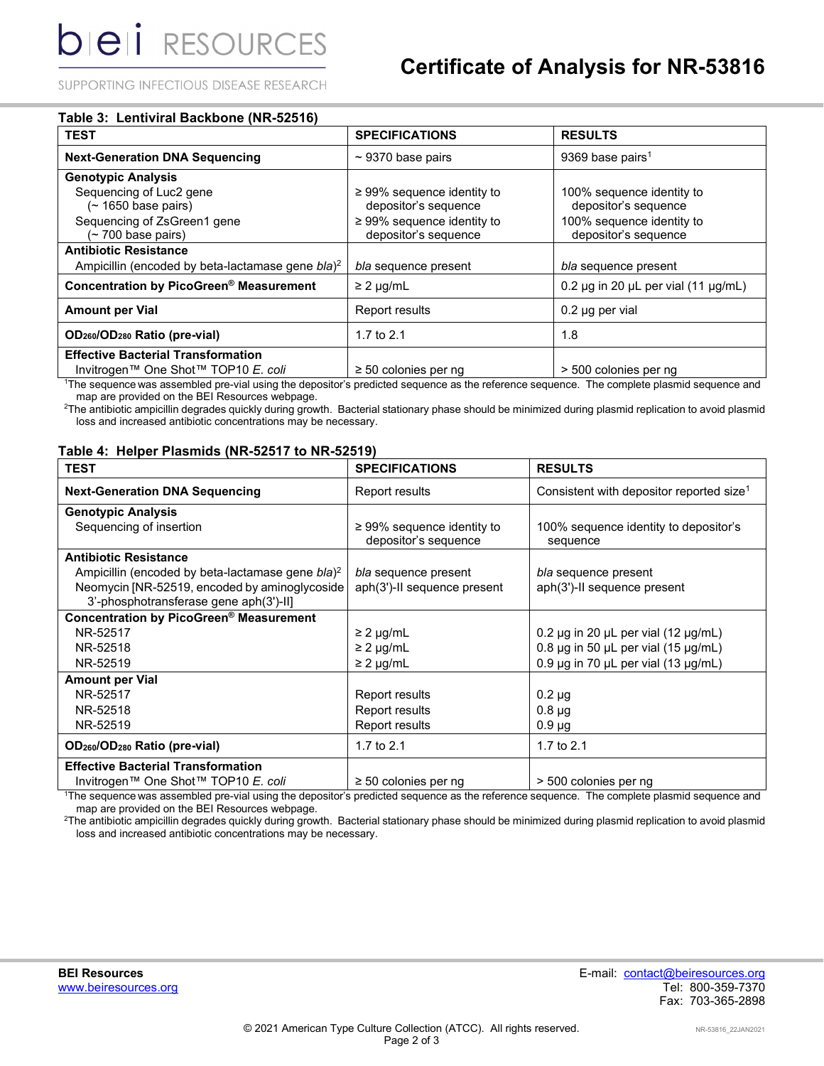SUPPORTING INFECTIOUS DISEASE RESEARCH

| <b>TEST</b>                                                                                  | <b>SPECIFICATIONS</b>                                   | <b>RESULTS</b>                                     |
|----------------------------------------------------------------------------------------------|---------------------------------------------------------|----------------------------------------------------|
| <b>Next-Generation DNA Sequencing</b>                                                        | $\sim$ 9370 base pairs                                  | 9369 base pairs <sup>1</sup>                       |
| <b>Genotypic Analysis</b>                                                                    |                                                         |                                                    |
| Sequencing of Luc2 gene<br>$($ 1650 base pairs)                                              | $\geq$ 99% sequence identity to<br>depositor's sequence | 100% sequence identity to<br>depositor's sequence  |
| Sequencing of ZsGreen1 gene<br>(~700 base pairs)                                             | $\geq$ 99% sequence identity to<br>depositor's sequence | 100% sequence identity to<br>depositor's sequence  |
| <b>Antibiotic Resistance</b><br>Ampicillin (encoded by beta-lactamase gene bla) <sup>2</sup> | bla sequence present                                    | bla sequence present                               |
| Concentration by PicoGreen <sup>®</sup> Measurement                                          | $\geq$ 2 µg/mL                                          | 0.2 $\mu$ g in 20 $\mu$ L per vial (11 $\mu$ g/mL) |
| <b>Amount per Vial</b>                                                                       | Report results                                          | $0.2$ µg per vial                                  |
| OD <sub>260</sub> /OD <sub>280</sub> Ratio (pre-vial)                                        | 1.7 to $2.1$                                            | 1.8                                                |
| <b>Effective Bacterial Transformation</b>                                                    |                                                         |                                                    |
| Invitrogen™ One Shot™ TOP10 E. coli                                                          | $\geq$ 50 colonies per ng                               | > 500 colonies per ng                              |

1 The sequence was assembled pre-vial using the depositor's predicted sequence as the reference sequence. The complete plasmid sequence and map are provided on the BEI Resources webpage.

2 The antibiotic ampicillin degrades quickly during growth. Bacterial stationary phase should be minimized during plasmid replication to avoid plasmid loss and increased antibiotic concentrations may be necessary.

#### **Table 4: Helper Plasmids (NR-52517 to NR-52519)**

| <b>TEST</b>                                                                                                                                                              | <b>SPECIFICATIONS</b>                                   | <b>RESULTS</b>                                       |
|--------------------------------------------------------------------------------------------------------------------------------------------------------------------------|---------------------------------------------------------|------------------------------------------------------|
| <b>Next-Generation DNA Sequencing</b>                                                                                                                                    | Report results                                          | Consistent with depositor reported size <sup>1</sup> |
| <b>Genotypic Analysis</b>                                                                                                                                                |                                                         |                                                      |
| Sequencing of insertion                                                                                                                                                  | $\geq$ 99% sequence identity to<br>depositor's sequence | 100% sequence identity to depositor's<br>sequence    |
| <b>Antibiotic Resistance</b>                                                                                                                                             |                                                         |                                                      |
| Ampicillin (encoded by beta-lactamase gene bla) <sup>2</sup>                                                                                                             | bla sequence present                                    | bla sequence present                                 |
| Neomycin [NR-52519, encoded by aminoglycoside                                                                                                                            | aph(3')-II sequence present                             | aph(3')-II sequence present                          |
| 3'-phosphotransferase gene aph(3')-II]                                                                                                                                   |                                                         |                                                      |
| Concentration by PicoGreen <sup>®</sup> Measurement                                                                                                                      |                                                         |                                                      |
| NR-52517                                                                                                                                                                 | $\geq$ 2 µg/mL                                          | 0.2 $\mu$ g in 20 $\mu$ L per vial (12 $\mu$ g/mL)   |
| NR-52518                                                                                                                                                                 | $\geq$ 2 µg/mL                                          | 0.8 $\mu$ g in 50 $\mu$ L per vial (15 $\mu$ g/mL)   |
| NR-52519                                                                                                                                                                 | $\geq$ 2 µg/mL                                          | 0.9 $\mu$ g in 70 $\mu$ L per vial (13 $\mu$ g/mL)   |
| <b>Amount per Vial</b>                                                                                                                                                   |                                                         |                                                      |
| NR-52517                                                                                                                                                                 | Report results                                          | $0.2 \mu g$                                          |
| NR-52518                                                                                                                                                                 | Report results                                          | $0.8 \mu$ g                                          |
| NR-52519                                                                                                                                                                 | Report results                                          | $0.9 \mu g$                                          |
| OD <sub>260</sub> /OD <sub>280</sub> Ratio (pre-vial)                                                                                                                    | 1.7 to 2.1                                              | 1.7 to 2.1                                           |
| <b>Effective Bacterial Transformation</b>                                                                                                                                |                                                         |                                                      |
| Invitrogen™ One Shot™ TOP10 E. coli<br>1The common considered and the intentional memorial considered common and the information of the common the memorial common could | $\geq$ 50 colonies per ng                               | > 500 colonies per ng                                |

1 The sequence was assembled pre-vial using the depositor's predicted sequence as the reference sequence. The complete plasmid sequence and map are provided on the BEI Resources webpage.

2 The antibiotic ampicillin degrades quickly during growth. Bacterial stationary phase should be minimized during plasmid replication to avoid plasmid loss and increased antibiotic concentrations may be necessary.